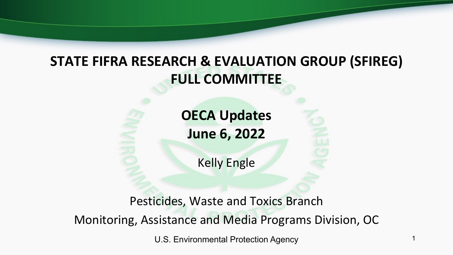### **STATE FIFRA RESEARCH & EVALUATION GROUP (SFIREG) FULL COMMITTEE**

**OECA Updates June 6, 2022**

Kelly Engle

Pesticides, Waste and Toxics Branch Monitoring, Assistance and Media Programs Division, OC

U.S. Environmental Protection Agency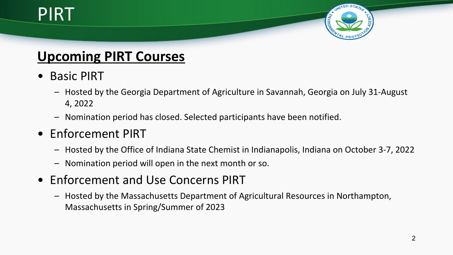# PIRT



#### **Upcoming PIRT Courses**

- Basic PIRT
	- Hosted by the Georgia Department of Agriculture in Savannah, Georgia on July 31-August 4, 2022
	- Nomination period has closed. Selected participants have been notified.
- Enforcement PIRT
	- Hosted by the Office of Indiana State Chemist in Indianapolis, Indiana on October 3-7, 2022
	- Nomination period will open in the next month or so.
- Enforcement and Use Concerns PIRT
	- Hosted by the Massachusetts Department of Agricultural Resources in Northampton, Massachusetts in Spring/Summer of 2023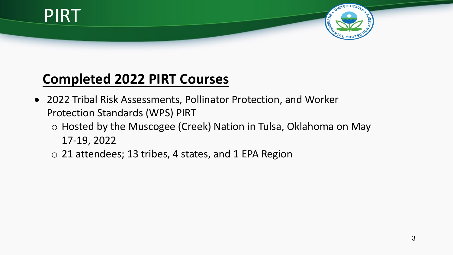

#### **Completed 2022 PIRT Courses**

- 2022 Tribal Risk Assessments, Pollinator Protection, and Worker Protection Standards (WPS) PIRT
	- o Hosted by the Muscogee (Creek) Nation in Tulsa, Oklahoma on May 17-19, 2022
	- o 21 attendees; 13 tribes, 4 states, and 1 EPA Region